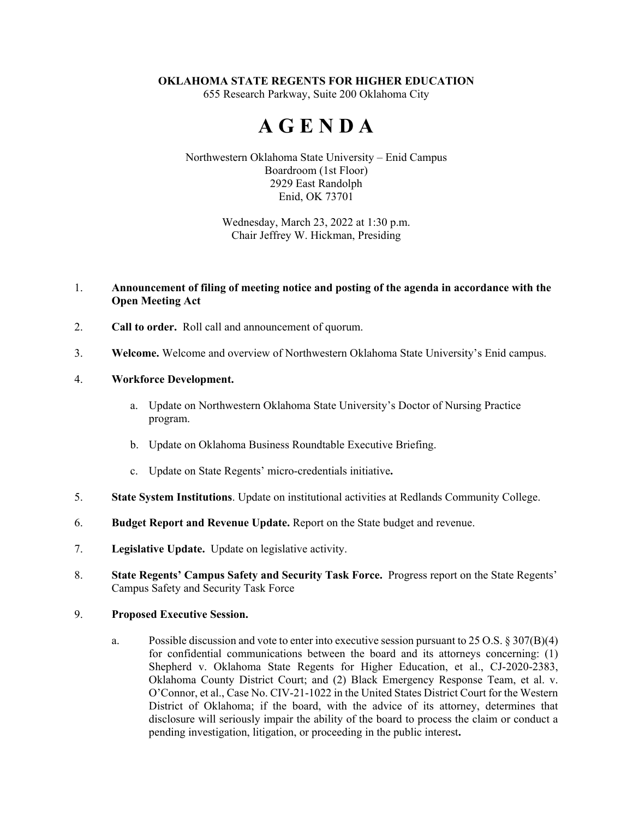## **OKLAHOMA STATE REGENTS FOR HIGHER EDUCATION**

655 Research Parkway, Suite 200 Oklahoma City

## **A G E N D A**

Northwestern Oklahoma State University – Enid Campus Boardroom (1st Floor) 2929 East Randolph Enid, OK 73701

> Wednesday, March 23, 2022 at 1:30 p.m. Chair Jeffrey W. Hickman, Presiding

## 1. **Announcement of filing of meeting notice and posting of the agenda in accordance with the Open Meeting Act**

- 2. **Call to order.** Roll call and announcement of quorum.
- 3. **Welcome.** Welcome and overview of Northwestern Oklahoma State University's Enid campus.

## 4. **Workforce Development.**

- a. Update on Northwestern Oklahoma State University's Doctor of Nursing Practice program.
- b. Update on Oklahoma Business Roundtable Executive Briefing.
- c. Update on State Regents' micro-credentials initiative**.**
- 5. **State System Institutions**. Update on institutional activities at Redlands Community College.
- 6. **Budget Report and Revenue Update.** Report on the State budget and revenue.
- 7. **Legislative Update.** Update on legislative activity.
- 8. **State Regents' Campus Safety and Security Task Force.** Progress report on the State Regents' Campus Safety and Security Task Force
- 9. **Proposed Executive Session.**
	- a. Possible discussion and vote to enter into executive session pursuant to 25 O.S. § 307(B)(4) for confidential communications between the board and its attorneys concerning: (1) Shepherd v. Oklahoma State Regents for Higher Education, et al., CJ-2020-2383, Oklahoma County District Court; and (2) Black Emergency Response Team, et al. v. O'Connor, et al., Case No. CIV-21-1022 in the United States District Court for the Western District of Oklahoma; if the board, with the advice of its attorney, determines that disclosure will seriously impair the ability of the board to process the claim or conduct a pending investigation, litigation, or proceeding in the public interest**.**